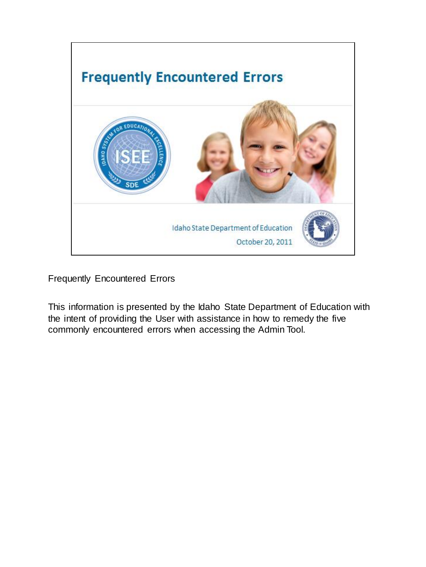

Frequently Encountered Errors

This information is presented by the Idaho State Department of Education with the intent of providing the User with assistance in how to remedy the five commonly encountered errors when accessing the Admin Tool.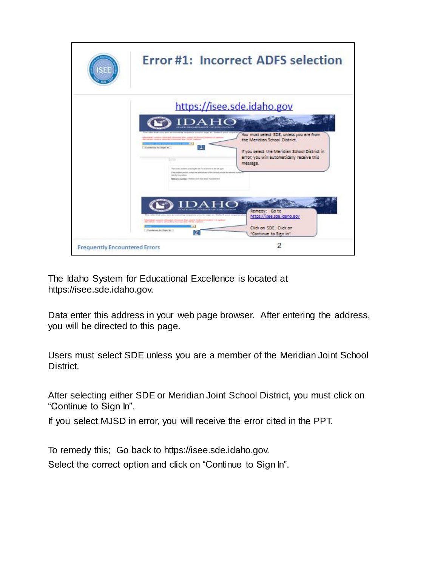

The Idaho System for Educational Excellence is located at https://isee.sde.idaho.gov.

Data enter this address in your web page browser. After entering the address, you will be directed to this page.

Users must select SDE unless you are a member of the Meridian Joint School District.

After selecting either SDE or Meridian Joint School District, you must click on "Continue to Sign In".

If you select MJSD in error, you will receive the error cited in the PPT.

To remedy this; Go back to https://isee.sde.idaho.gov. Select the correct option and click on "Continue to Sign In".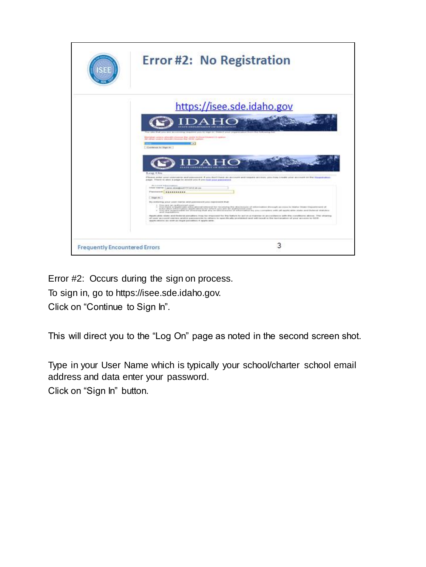

Error #2: Occurs during the sign on process.

To sign in, go to https://isee.sde.idaho.gov.

Click on "Continue to Sign In".

This will direct you to the "Log On" page as noted in the second screen shot.

Type in your User Name which is typically your school/charter school email address and data enter your password.

Click on "Sign In" button.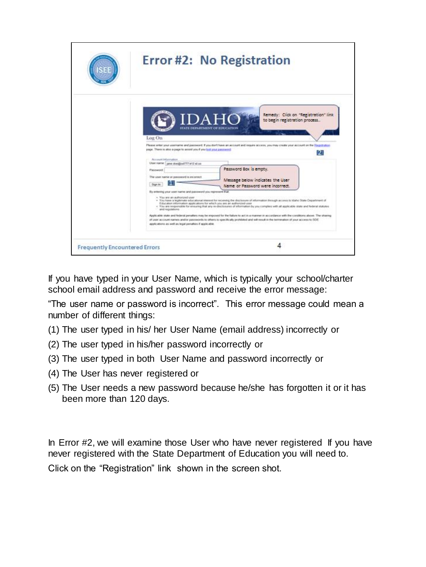

If you have typed in your User Name, which is typically your school/charter school email address and password and receive the error message:

"The user name or password is incorrect". This error message could mean a number of different things:

- (1) The user typed in his/ her User Name (email address) incorrectly or
- (2) The user typed in his/her password incorrectly or
- (3) The user typed in both User Name and password incorrectly or
- (4) The User has never registered or
- (5) The User needs a new password because he/she has forgotten it or it has been more than 120 days.

In Error #2, we will examine those User who have never registered If you have never registered with the State Department of Education you will need to. Click on the "Registration" link shown in the screen shot.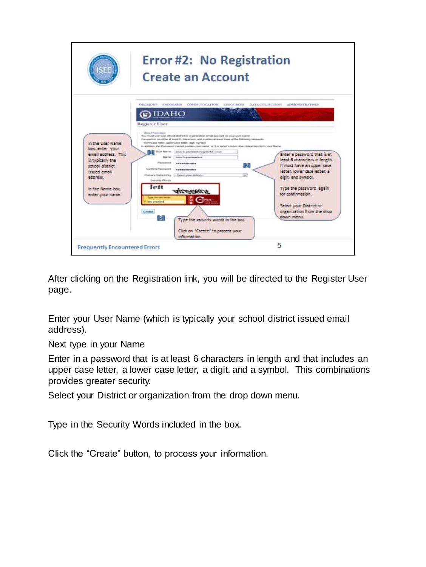

After clicking on the Registration link, you will be directed to the Register User page.

Enter your User Name (which is typically your school district issued email address).

Next type in your Name

Enter in a password that is at least 6 characters in length and that includes an upper case letter, a lower case letter, a digit, and a symbol. This combinations provides greater security.

Select your District or organization from the drop down menu.

Type in the Security Words included in the box.

Click the "Create" button, to process your information.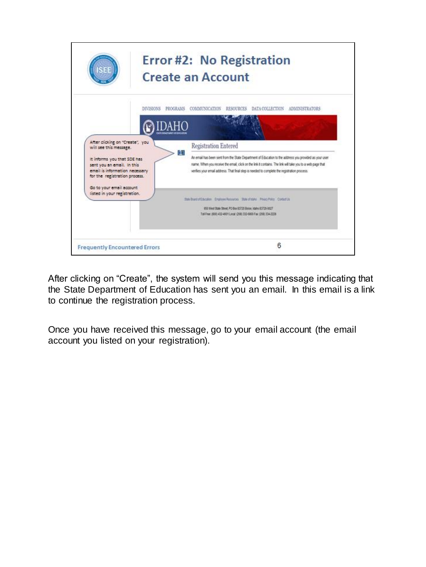

After clicking on "Create", the system will send you this message indicating that the State Department of Education has sent you an email. In this email is a link to continue the registration process.

Once you have received this message, go to your email account (the email account you listed on your registration).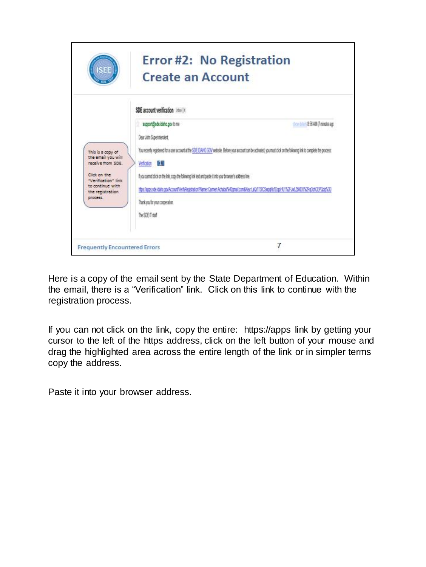

Here is a copy of the email sent by the State Department of Education. Within the email, there is a "Verification" link. Click on this link to continue with the registration process.

If you can not click on the link, copy the entire: https://apps link by getting your cursor to the left of the https address, click on the left button of your mouse and drag the highlighted area across the entire length of the link or in simpler terms copy the address.

Paste it into your browser address.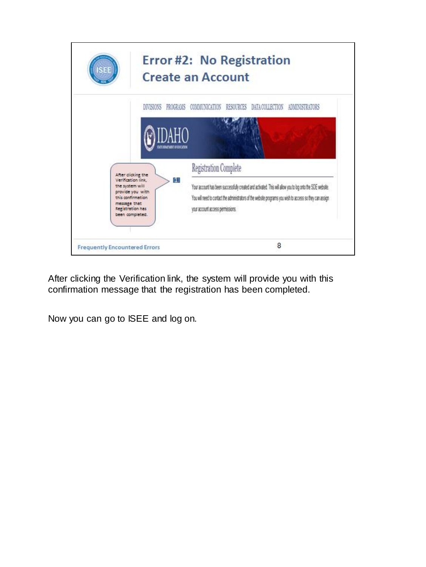

After clicking the Verification link, the system will provide you with this confirmation message that the registration has been completed.

Now you can go to ISEE and log on.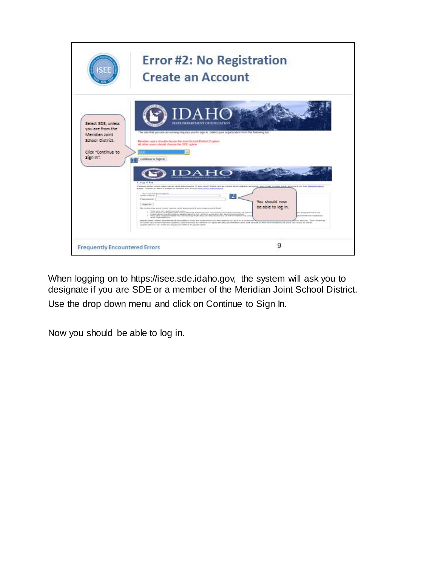

When logging on to https://isee.sde.idaho.gov, the system will ask you to designate if you are SDE or a member of the Meridian Joint School District. Use the drop down menu and click on Continue to Sign In.

Now you should be able to log in.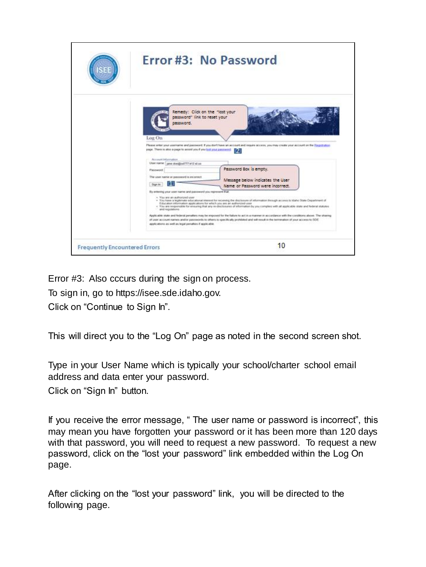

Error #3: Also cccurs during the sign on process.

To sign in, go to https://isee.sde.idaho.gov.

Click on "Continue to Sign In".

This will direct you to the "Log On" page as noted in the second screen shot.

Type in your User Name which is typically your school/charter school email address and data enter your password.

Click on "Sign In" button.

If you receive the error message, " The user name or password is incorrect", this may mean you have forgotten your password or it has been more than 120 days with that password, you will need to request a new password. To request a new password, click on the "lost your password" link embedded within the Log On page.

After clicking on the "lost your password" link, you will be directed to the following page.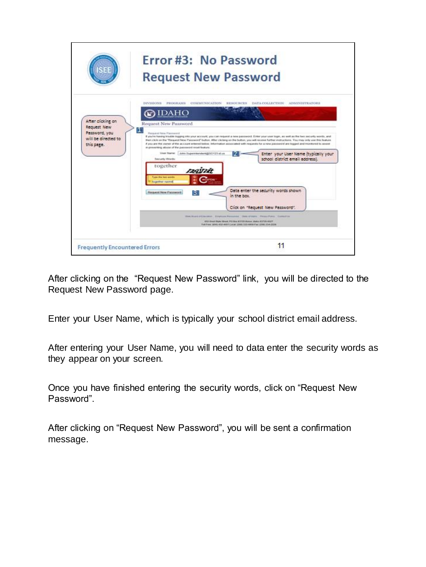

After clicking on the "Request New Password" link, you will be directed to the Request New Password page.

Enter your User Name, which is typically your school district email address.

After entering your User Name, you will need to data enter the security words as they appear on your screen.

Once you have finished entering the security words, click on "Request New Password".

After clicking on "Request New Password", you will be sent a confirmation message.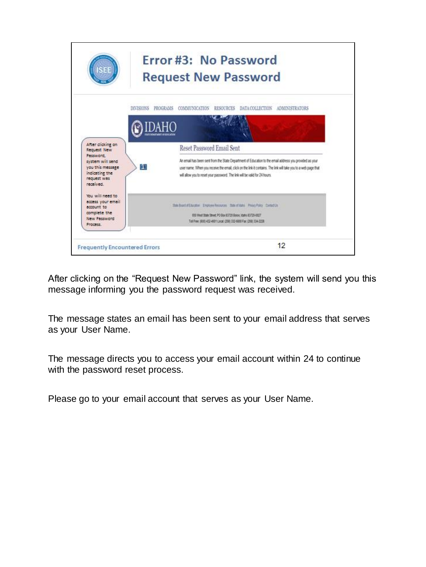

After clicking on the "Request New Password" link, the system will send you this message informing you the password request was received.

The message states an email has been sent to your email address that serves as your User Name.

The message directs you to access your email account within 24 to continue with the password reset process.

Please go to your email account that serves as your User Name.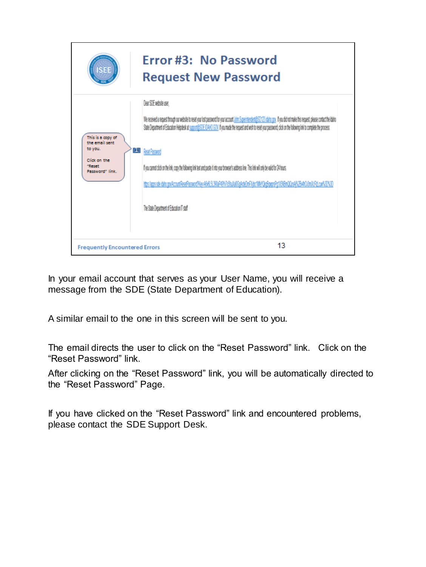

In your email account that serves as your User Name, you will receive a message from the SDE (State Department of Education).

A similar email to the one in this screen will be sent to you.

The email directs the user to click on the "Reset Password" link. Click on the "Reset Password" link.

After clicking on the "Reset Password" link, you will be automatically directed to the "Reset Password" Page.

If you have clicked on the "Reset Password" link and encountered problems, please contact the SDE Support Desk.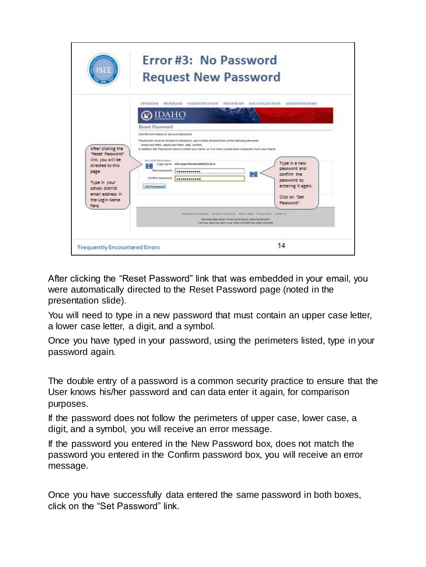

After clicking the "Reset Password" link that was embedded in your email, you were automatically directed to the Reset Password page (noted in the presentation slide).

You will need to type in a new password that must contain an upper case letter, a lower case letter, a digit, and a symbol.

Once you have typed in your password, using the perimeters listed, type in your password again.

The double entry of a password is a common security practice to ensure that the User knows his/her password and can data enter it again, for comparison purposes.

If the password does not follow the perimeters of upper case, lower case, a digit, and a symbol, you will receive an error message.

If the password you entered in the New Password box, does not match the password you entered in the Confirm password box, you will receive an error message.

Once you have successfully data entered the same password in both boxes, click on the "Set Password" link.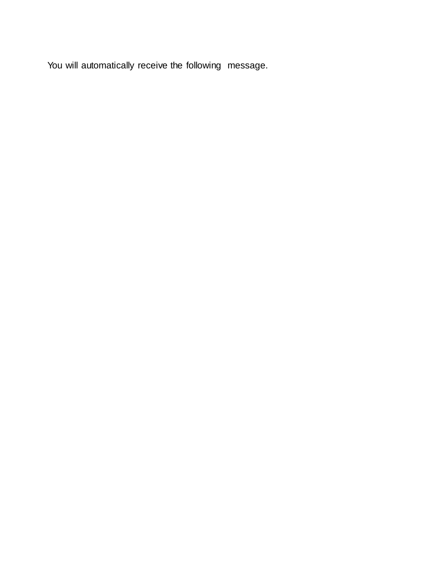You will automatically receive the following message.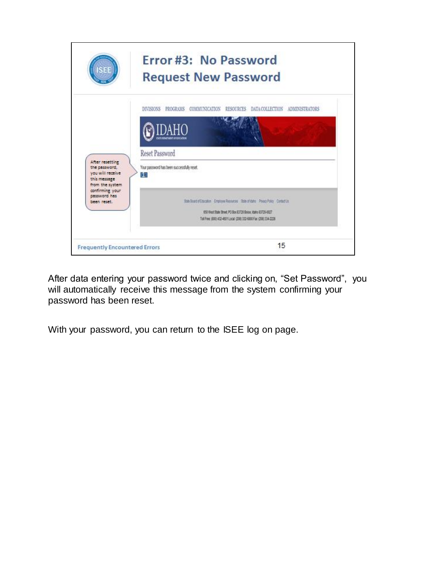

After data entering your password twice and clicking on, "Set Password", you will automatically receive this message from the system confirming your password has been reset.

With your password, you can return to the ISEE log on page.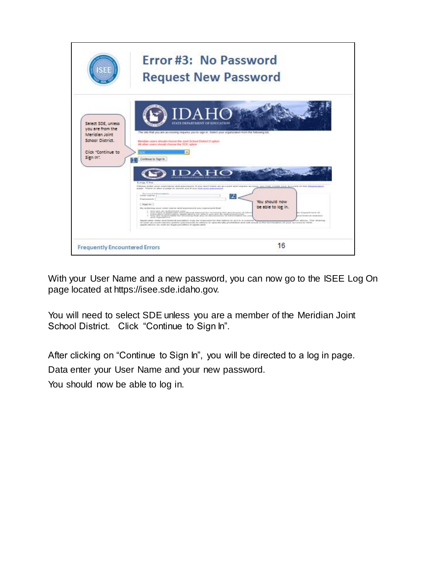

With your User Name and a new password, you can now go to the ISEE Log On page located at https://isee.sde.idaho.gov.

You will need to select SDE unless you are a member of the Meridian Joint School District. Click "Continue to Sign In".

After clicking on "Continue to Sign In", you will be directed to a log in page.

Data enter your User Name and your new password.

You should now be able to log in.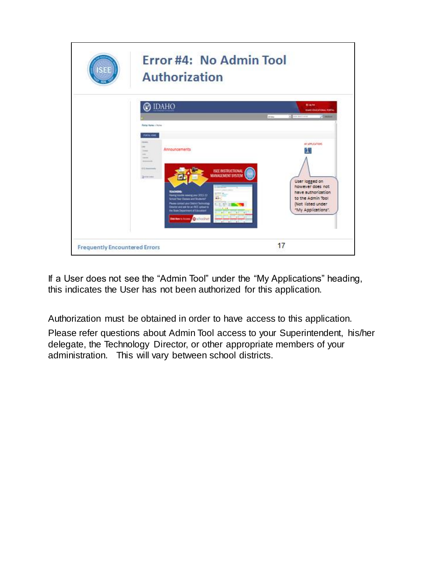

If a User does not see the "Admin Tool" under the "My Applications" heading, this indicates the User has not been authorized for this application.

Authorization must be obtained in order to have access to this application.

Please refer questions about Admin Tool access to your Superintendent, his/her delegate, the Technology Director, or other appropriate members of your administration. This will vary between school districts.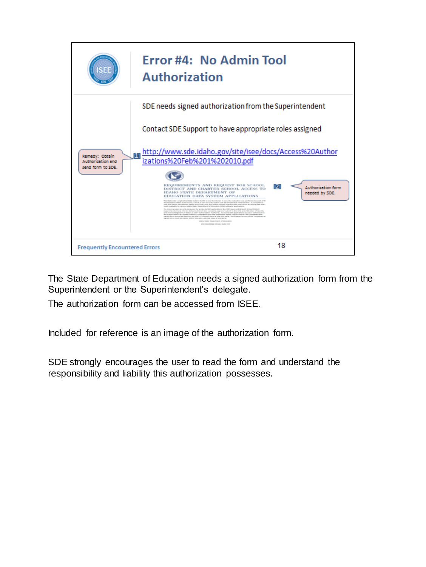

The State Department of Education needs a signed authorization form from the Superintendent or the Superintendent's delegate.

The authorization form can be accessed from ISEE.

Included for reference is an image of the authorization form.

SDE strongly encourages the user to read the form and understand the responsibility and liability this authorization possesses.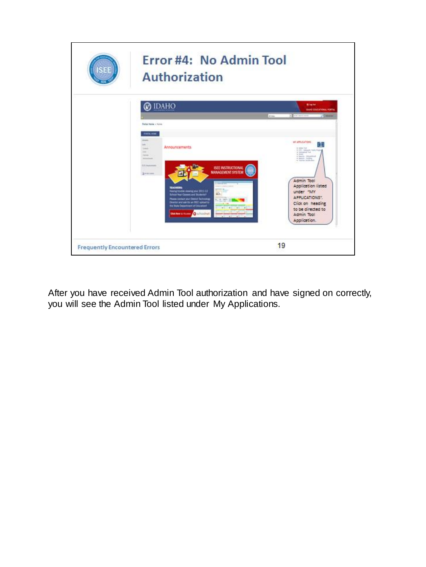

After you have received Admin Tool authorization and have signed on correctly, you will see the Admin Tool listed under My Applications.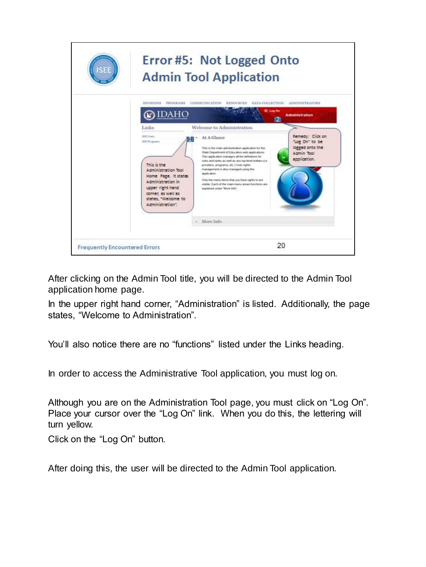

After clicking on the Admin Tool title, you will be directed to the Admin Tool application home page.

In the upper right hand corner, "Administration" is listed. Additionally, the page states, "Welcome to Administration".

You'll also notice there are no "functions" listed under the Links heading.

In order to access the Administrative Tool application, you must log on.

Although you are on the Administration Tool page, you must click on "Log On". Place your cursor over the "Log On" link. When you do this, the lettering will turn yellow.

Click on the "Log On" button.

After doing this, the user will be directed to the Admin Tool application.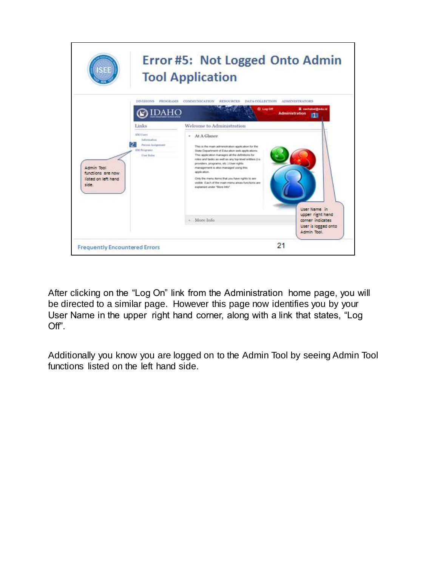

After clicking on the "Log On" link from the Administration home page, you will be directed to a similar page. However this page now identifies you by your User Name in the upper right hand corner, along with a link that states, "Log Off".

Additionally you know you are logged on to the Admin Tool by seeing Admin Tool functions listed on the left hand side.